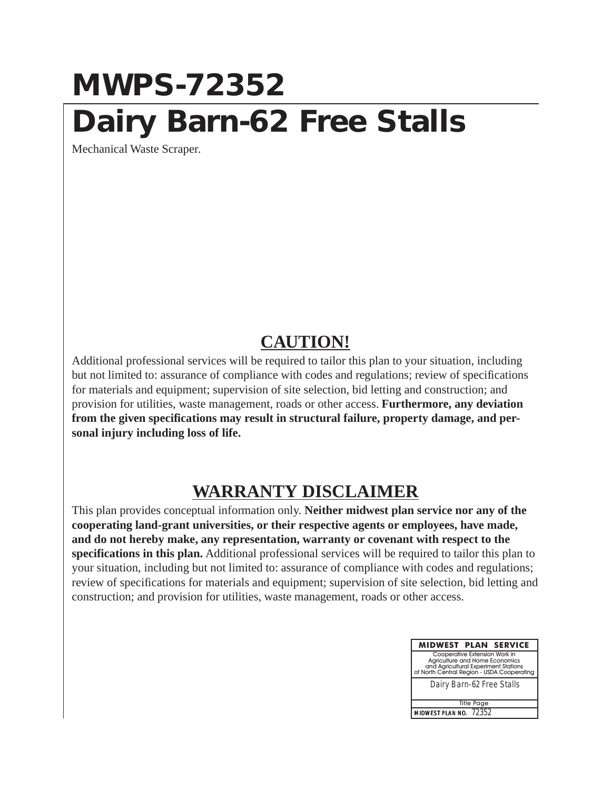## **MWPS-72352 Dairy Barn-62 Free Stalls**

Mechanical Waste Scraper.

## **CAUTION!**

Additional professional services will be required to tailor this plan to your situation, including but not limited to: assurance of compliance with codes and regulations; review of specifications for materials and equipment; supervision of site selection, bid letting and construction; and provision for utilities, waste management, roads or other access. **Furthermore, any deviation from the given specifications may result in structural failure, property damage, and personal injury including loss of life.**

## **WARRANTY DISCLAIMER**

This plan provides conceptual information only. **Neither midwest plan service nor any of the cooperating land-grant universities, or their respective agents or employees, have made, and do not hereby make, any representation, warranty or covenant with respect to the specifications in this plan.** Additional professional services will be required to tailor this plan to your situation, including but not limited to: assurance of compliance with codes and regulations; review of specifications for materials and equipment; supervision of site selection, bid letting and construction; and provision for utilities, waste management, roads or other access.

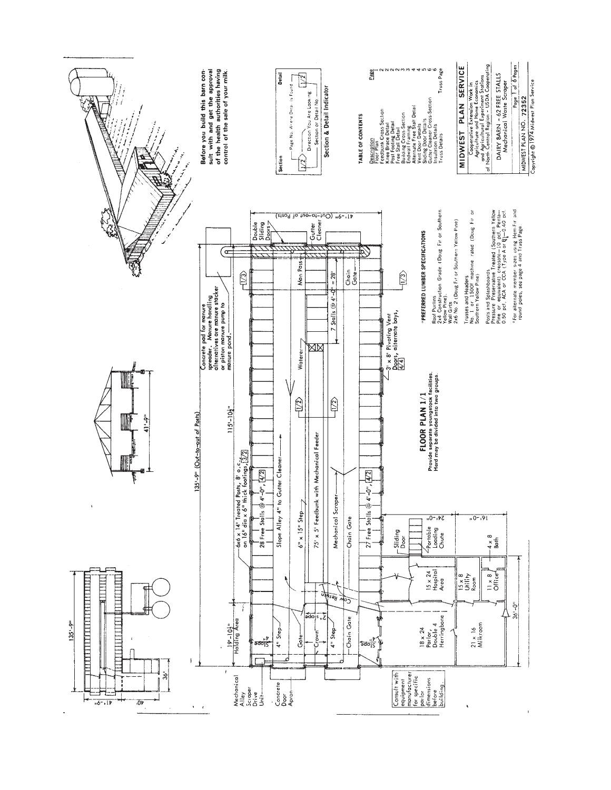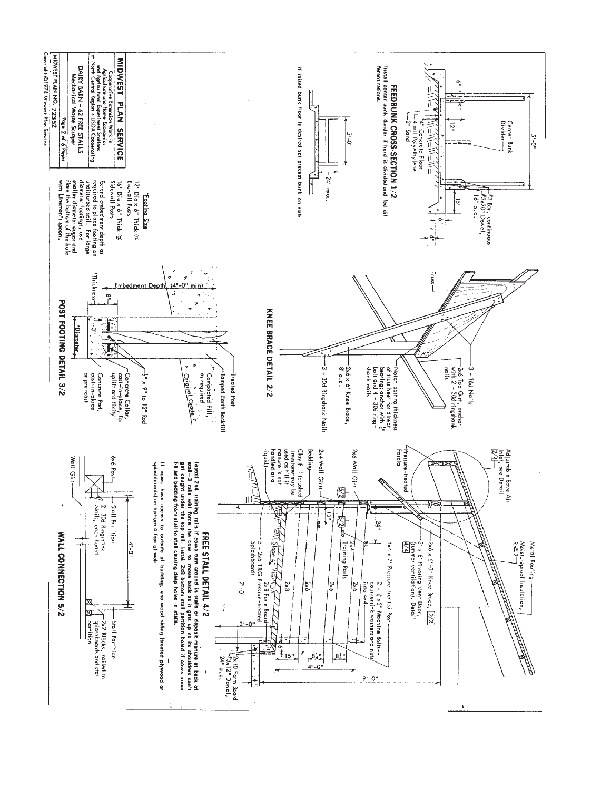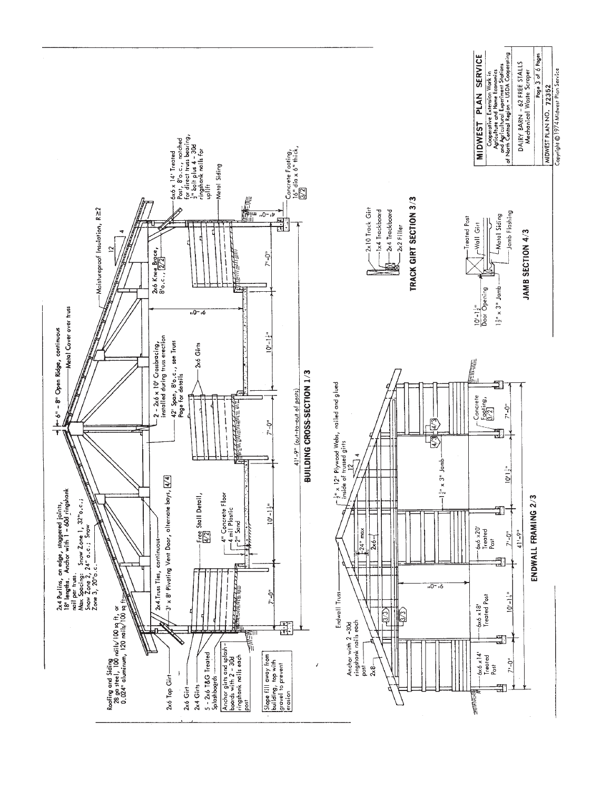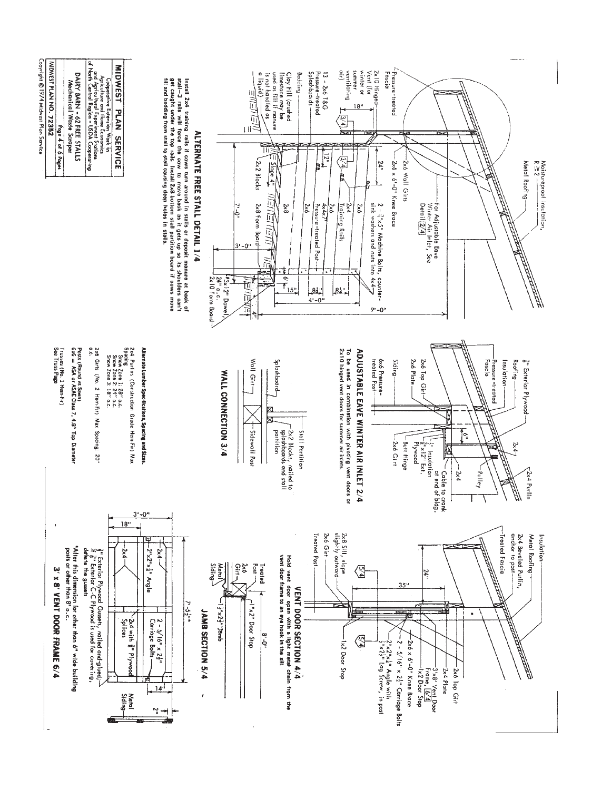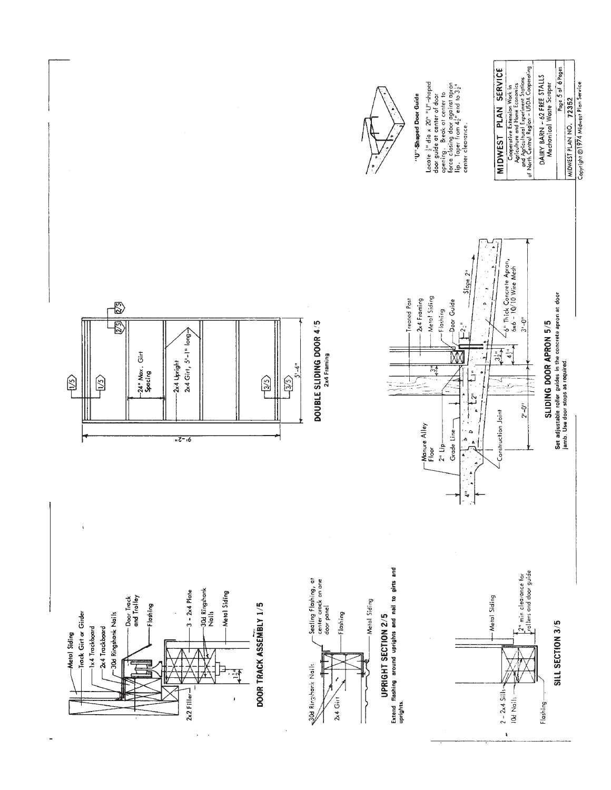